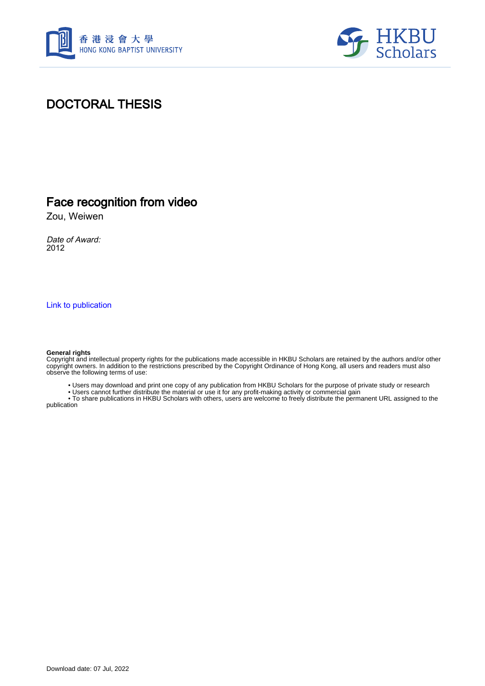



#### DOCTORAL THESIS

#### Face recognition from video

Zou, Weiwen

Date of Award: 2012

[Link to publication](https://scholars.hkbu.edu.hk/en/studentTheses/d0b3be79-a3cf-4631-986c-323570a4be6b)

#### **General rights**

Copyright and intellectual property rights for the publications made accessible in HKBU Scholars are retained by the authors and/or other copyright owners. In addition to the restrictions prescribed by the Copyright Ordinance of Hong Kong, all users and readers must also observe the following terms of use:

• Users may download and print one copy of any publication from HKBU Scholars for the purpose of private study or research

• Users cannot further distribute the material or use it for any profit-making activity or commercial gain

 • To share publications in HKBU Scholars with others, users are welcome to freely distribute the permanent URL assigned to the publication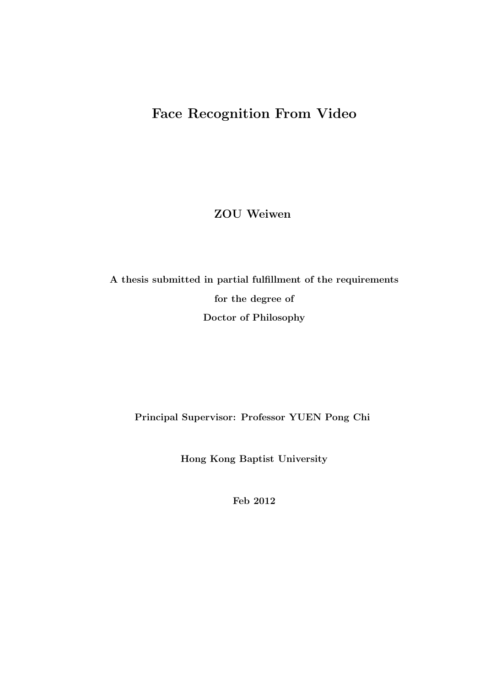### Face Recognition From Video

ZOU Weiwen

A thesis submitted in partial fulfillment of the requirements for the degree of Doctor of Philosophy

Principal Supervisor: Professor YUEN Pong Chi

Hong Kong Baptist University

Feb 2012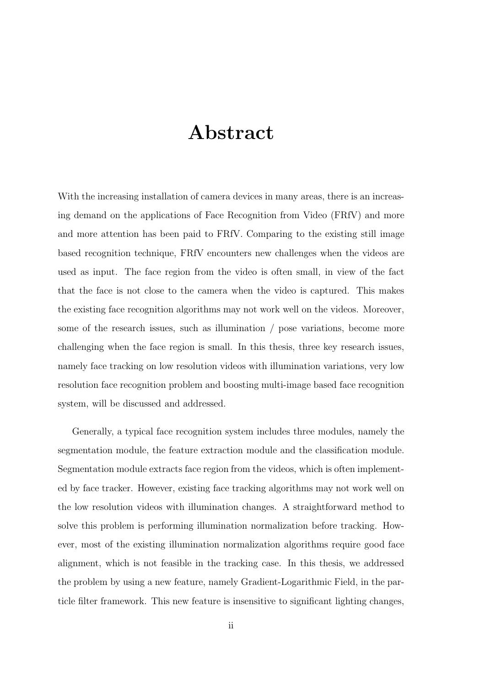## Abstract

With the increasing installation of camera devices in many areas, there is an increasing demand on the applications of Face Recognition from Video (FRfV) and more and more attention has been paid to FRfV. Comparing to the existing still image based recognition technique, FRfV encounters new challenges when the videos are used as input. The face region from the video is often small, in view of the fact that the face is not close to the camera when the video is captured. This makes the existing face recognition algorithms may not work well on the videos. Moreover, some of the research issues, such as illumination / pose variations, become more challenging when the face region is small. In this thesis, three key research issues, namely face tracking on low resolution videos with illumination variations, very low resolution face recognition problem and boosting multi-image based face recognition system, will be discussed and addressed.

Generally, a typical face recognition system includes three modules, namely the segmentation module, the feature extraction module and the classification module. Segmentation module extracts face region from the videos, which is often implemented by face tracker. However, existing face tracking algorithms may not work well on the low resolution videos with illumination changes. A straightforward method to solve this problem is performing illumination normalization before tracking. However, most of the existing illumination normalization algorithms require good face alignment, which is not feasible in the tracking case. In this thesis, we addressed the problem by using a new feature, namely Gradient-Logarithmic Field, in the particle filter framework. This new feature is insensitive to significant lighting changes,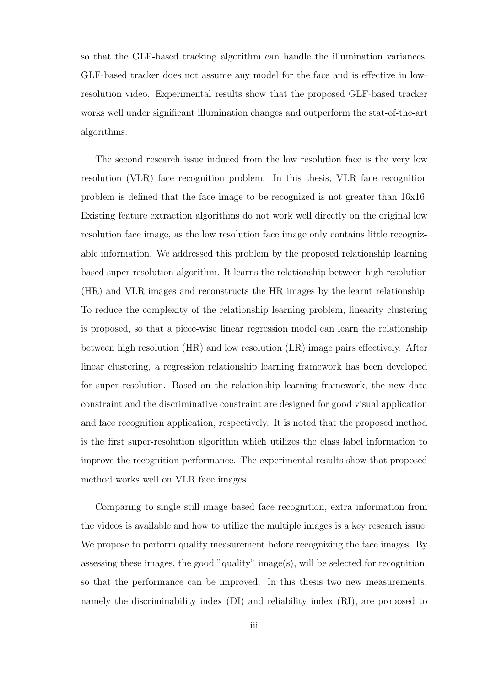so that the GLF-based tracking algorithm can handle the illumination variances. GLF-based tracker does not assume any model for the face and is effective in lowresolution video. Experimental results show that the proposed GLF-based tracker works well under significant illumination changes and outperform the stat-of-the-art algorithms.

The second research issue induced from the low resolution face is the very low resolution (VLR) face recognition problem. In this thesis, VLR face recognition problem is defined that the face image to be recognized is not greater than 16x16. Existing feature extraction algorithms do not work well directly on the original low resolution face image, as the low resolution face image only contains little recognizable information. We addressed this problem by the proposed relationship learning based super-resolution algorithm. It learns the relationship between high-resolution (HR) and VLR images and reconstructs the HR images by the learnt relationship. To reduce the complexity of the relationship learning problem, linearity clustering is proposed, so that a piece-wise linear regression model can learn the relationship between high resolution (HR) and low resolution (LR) image pairs effectively. After linear clustering, a regression relationship learning framework has been developed for super resolution. Based on the relationship learning framework, the new data constraint and the discriminative constraint are designed for good visual application and face recognition application, respectively. It is noted that the proposed method is the first super-resolution algorithm which utilizes the class label information to improve the recognition performance. The experimental results show that proposed method works well on VLR face images.

Comparing to single still image based face recognition, extra information from the videos is available and how to utilize the multiple images is a key research issue. We propose to perform quality measurement before recognizing the face images. By assessing these images, the good "quality" image(s), will be selected for recognition, so that the performance can be improved. In this thesis two new measurements, namely the discriminability index (DI) and reliability index (RI), are proposed to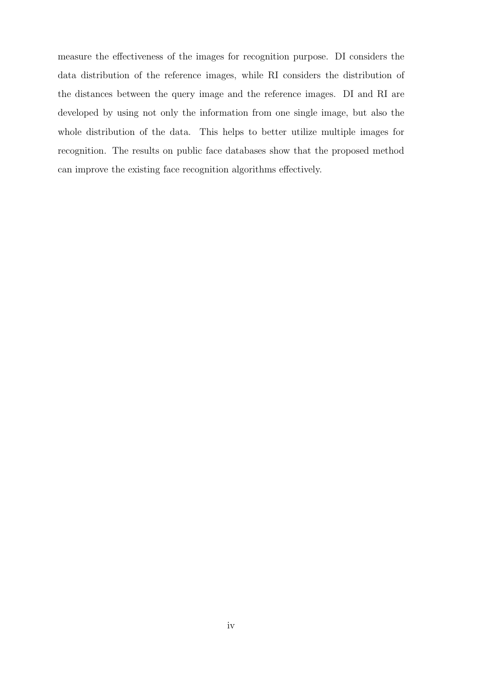measure the effectiveness of the images for recognition purpose. DI considers the data distribution of the reference images, while RI considers the distribution of the distances between the query image and the reference images. DI and RI are developed by using not only the information from one single image, but also the whole distribution of the data. This helps to better utilize multiple images for recognition. The results on public face databases show that the proposed method can improve the existing face recognition algorithms effectively.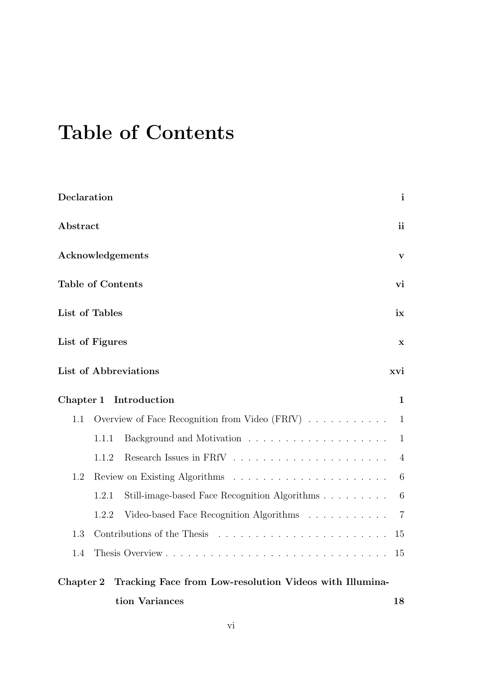# Table of Contents

| Declaration                                                          |       |                                                                    | $\mathbf{i}$    |  |  |  |
|----------------------------------------------------------------------|-------|--------------------------------------------------------------------|-----------------|--|--|--|
| Abstract                                                             |       |                                                                    | ii              |  |  |  |
| Acknowledgements                                                     |       |                                                                    | V               |  |  |  |
| <b>Table of Contents</b>                                             |       |                                                                    | vi              |  |  |  |
| List of Tables                                                       |       |                                                                    | ix              |  |  |  |
| List of Figures                                                      |       |                                                                    | x               |  |  |  |
|                                                                      |       | List of Abbreviations                                              | xvi             |  |  |  |
| Chapter 1                                                            |       | Introduction                                                       | 1               |  |  |  |
| 1.1                                                                  |       | Overview of Face Recognition from Video $(FRfV) \dots \dots \dots$ | $\mathbf 1$     |  |  |  |
|                                                                      | 1.1.1 |                                                                    | $\mathbf{1}$    |  |  |  |
|                                                                      | 1.1.2 |                                                                    | $\overline{4}$  |  |  |  |
| 1.2                                                                  |       |                                                                    | 6               |  |  |  |
|                                                                      | 1.2.1 | Still-image-based Face Recognition Algorithms                      | $6\phantom{.}6$ |  |  |  |
|                                                                      | 1.2.2 | Video-based Face Recognition Algorithms                            | $\overline{7}$  |  |  |  |
| 1.3                                                                  |       |                                                                    | 15              |  |  |  |
| 1.4                                                                  |       |                                                                    | 15              |  |  |  |
| Tracking Face from Low-resolution Videos with Illumina-<br>Chapter 2 |       |                                                                    |                 |  |  |  |
| tion Variances                                                       |       |                                                                    |                 |  |  |  |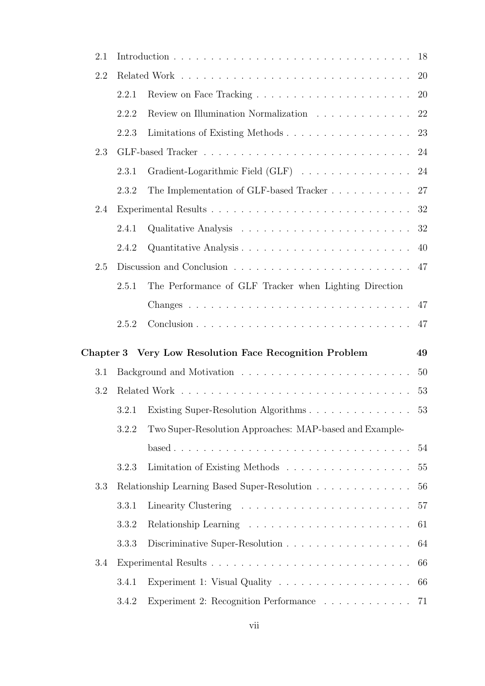| 2.1              |       |                                                                    | 18        |
|------------------|-------|--------------------------------------------------------------------|-----------|
| 2.2              |       |                                                                    | 20        |
|                  | 2.2.1 |                                                                    | <b>20</b> |
|                  | 2.2.2 | Review on Illumination Normalization $\ldots \ldots \ldots \ldots$ | 22        |
|                  | 2.2.3 | Limitations of Existing Methods                                    | 23        |
| 2.3              |       |                                                                    | 24        |
|                  | 2.3.1 | Gradient-Logarithmic Field (GLF)                                   | 24        |
|                  | 2.3.2 | The Implementation of GLF-based Tracker                            | 27        |
| 2.4              |       |                                                                    | 32        |
|                  | 2.4.1 |                                                                    | 32        |
|                  | 2.4.2 |                                                                    | 40        |
| 2.5              | 47    |                                                                    |           |
|                  | 2.5.1 | The Performance of GLF Tracker when Lighting Direction             |           |
|                  |       |                                                                    | 47        |
|                  | 2.5.2 |                                                                    | 47        |
|                  |       |                                                                    |           |
|                  |       |                                                                    |           |
| Chapter 3<br>3.1 |       | Very Low Resolution Face Recognition Problem                       | 49        |
| 3.2              |       |                                                                    | 50        |
|                  | 3.2.1 |                                                                    | 53        |
|                  | 3.2.2 |                                                                    | 53        |
|                  |       | Two Super-Resolution Approaches: MAP-based and Example-            | 54        |
|                  | 3.2.3 | Limitation of Existing Methods                                     | 55        |
| 3.3              |       |                                                                    | 56        |
|                  | 3.3.1 | Relationship Learning Based Super-Resolution                       | 57        |
|                  | 3.3.2 |                                                                    | 61        |
|                  | 3.3.3 |                                                                    | 64        |
| 3.4              |       |                                                                    | 66        |
|                  | 3.4.1 |                                                                    | 66        |
|                  | 3.4.2 | Experiment 2: Recognition Performance 71                           |           |